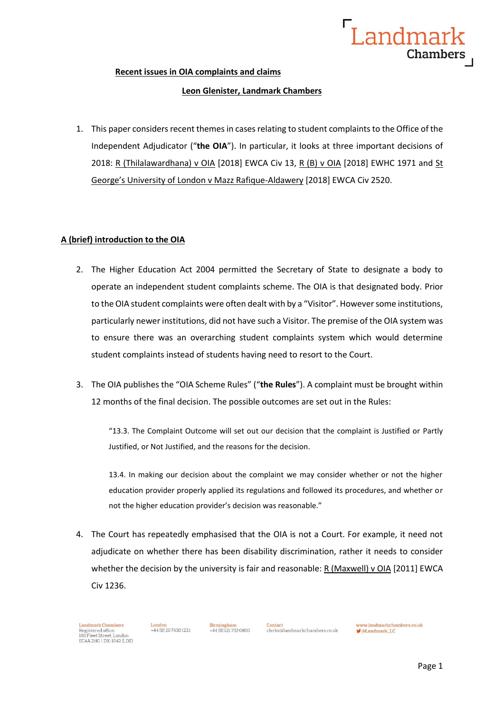

## **Recent issues in OIA complaints and claims**

#### **Leon Glenister, Landmark Chambers**

1. This paper considers recent themes in cases relating to student complaints to the Office of the Independent Adjudicator ("**the OIA**"). In particular, it looks at three important decisions of 2018: R (Thilalawardhana) v OIA [2018] EWCA Civ 13, R (B) v OIA [2018] EWHC 1971 and St George's University of London v Mazz Rafique-Aldawery [2018] EWCA Civ 2520.

## **A (brief) introduction to the OIA**

- 2. The Higher Education Act 2004 permitted the Secretary of State to designate a body to operate an independent student complaints scheme. The OIA is that designated body. Prior to the OIA student complaints were often dealt with by a "Visitor". However some institutions, particularly newer institutions, did not have such a Visitor. The premise of the OIA system was to ensure there was an overarching student complaints system which would determine student complaints instead of students having need to resort to the Court.
- 3. The OIA publishes the "OIA Scheme Rules" ("**the Rules**"). A complaint must be brought within 12 months of the final decision. The possible outcomes are set out in the Rules:

"13.3. The Complaint Outcome will set out our decision that the complaint is Justified or Partly Justified, or Not Justified, and the reasons for the decision.

13.4. In making our decision about the complaint we may consider whether or not the higher education provider properly applied its regulations and followed its procedures, and whether or not the higher education provider's decision was reasonable."

4. The Court has repeatedly emphasised that the OIA is not a Court. For example, it need not adjudicate on whether there has been disability discrimination, rather it needs to consider whether the decision by the university is fair and reasonable: R (Maxwell) v OIA [2011] EWCA Civ 1236.

 $\begin{array}{l} \textbf{London} \\ \textbf{+44}\, (0)\, 20\,7430\,1221 \end{array}$ 

Birmingham<br>+44 (0) 121 752 0800

Contact<br>clerks@landmarkchambers.co.uk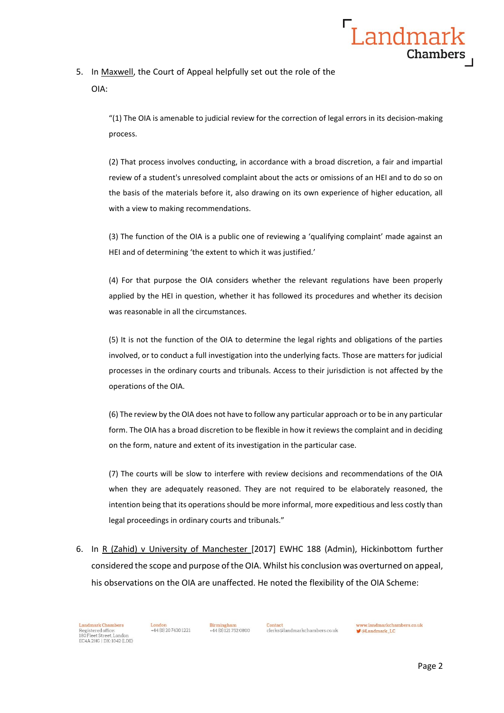

# 5. In Maxwell, the Court of Appeal helpfully set out the role of the OIA:

"(1) The OIA is amenable to judicial review for the correction of legal errors in its decision-making process.

(2) That process involves conducting, in accordance with a broad discretion, a fair and impartial review of a student's unresolved complaint about the acts or omissions of an HEI and to do so on the basis of the materials before it, also drawing on its own experience of higher education, all with a view to making recommendations.

(3) The function of the OIA is a public one of reviewing a 'qualifying complaint' made against an HEI and of determining 'the extent to which it was justified.'

(4) For that purpose the OIA considers whether the relevant regulations have been properly applied by the HEI in question, whether it has followed its procedures and whether its decision was reasonable in all the circumstances.

(5) It is not the function of the OIA to determine the legal rights and obligations of the parties involved, or to conduct a full investigation into the underlying facts. Those are matters for judicial processes in the ordinary courts and tribunals. Access to their jurisdiction is not affected by the operations of the OIA.

(6) The review by the OIA does not have to follow any particular approach or to be in any particular form. The OIA has a broad discretion to be flexible in how it reviews the complaint and in deciding on the form, nature and extent of its investigation in the particular case.

(7) The courts will be slow to interfere with review decisions and recommendations of the OIA when they are adequately reasoned. They are not required to be elaborately reasoned, the intention being that its operations should be more informal, more expeditious and less costly than legal proceedings in ordinary courts and tribunals."

6. In R (Zahid) v University of Manchester [2017] EWHC 188 (Admin), Hickinbottom further considered the scope and purpose of the OIA. Whilst his conclusion was overturned on appeal, his observations on the OIA are unaffected. He noted the flexibility of the OIA Scheme:



 $\begin{array}{l} \textbf{London} \\ \textbf{+44}\, (0)\, 20\,7430\,1221 \end{array}$ 

Birmingham<br>+44 (0) 121 752 0800

Contact<br>clerks@landmarkchambers.co.uk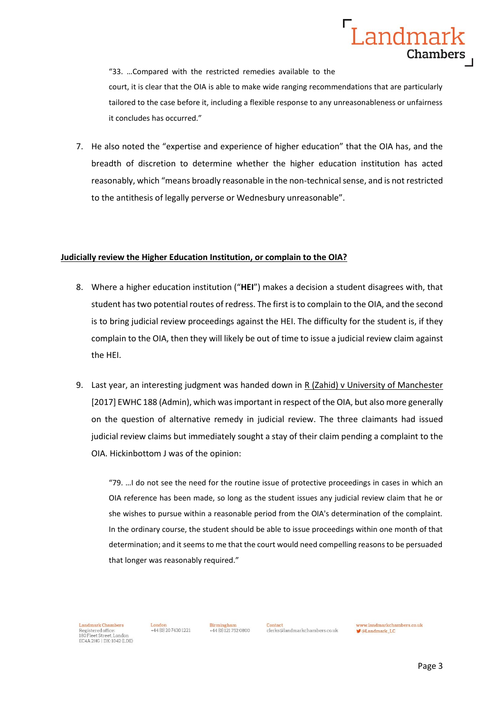

"33. …Compared with the restricted remedies available to the court, it is clear that the OIA is able to make wide ranging recommendations that are particularly tailored to the case before it, including a flexible response to any unreasonableness or unfairness it concludes has occurred."

7. He also noted the "expertise and experience of higher education" that the OIA has, and the breadth of discretion to determine whether the higher education institution has acted reasonably, which "means broadly reasonable in the non-technical sense, and is not restricted to the antithesis of legally perverse or Wednesbury unreasonable".

## **Judicially review the Higher Education Institution, or complain to the OIA?**

- 8. Where a higher education institution ("**HEI**") makes a decision a student disagrees with, that student has two potential routes of redress. The first is to complain to the OIA, and the second is to bring judicial review proceedings against the HEI. The difficulty for the student is, if they complain to the OIA, then they will likely be out of time to issue a judicial review claim against the HEI.
- 9. Last vear, an interesting judgment was handed down in R (Zahid) v University of Manchester [2017] EWHC 188 (Admin), which was important in respect of the OIA, but also more generally on the question of alternative remedy in judicial review. The three claimants had issued judicial review claims but immediately sought a stay of their claim pending a complaint to the OIA. Hickinbottom J was of the opinion:

"79. …I do not see the need for the routine issue of protective proceedings in cases in which an OIA reference has been made, so long as the student issues any judicial review claim that he or she wishes to pursue within a reasonable period from the OIA's determination of the complaint. In the ordinary course, the student should be able to issue proceedings within one month of that determination; and it seems to me that the court would need compelling reasons to be persuaded that longer was reasonably required."

 $\begin{array}{l} \textbf{London} \\ \textbf{+44}\, (0)\, 20\,7430\,1221 \end{array}$ 

Birmingham<br>+44 (0) 121 752 0800

Contact<br>clerks@landmarkchambers.co.uk

www.landmarkchambers.co.uk **M**@Landmark LC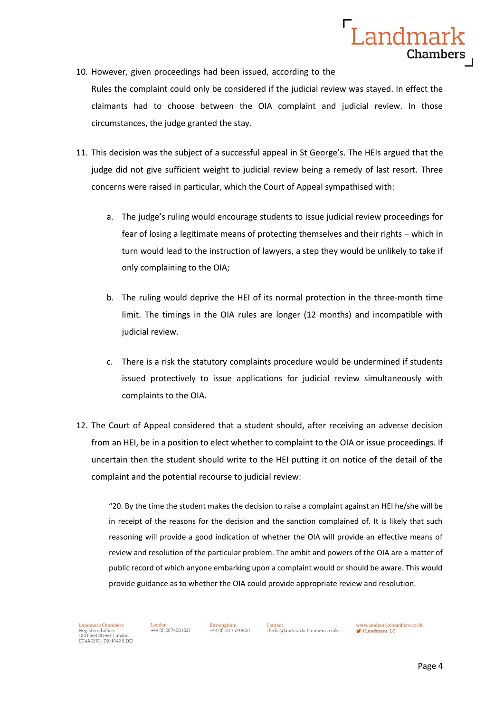

- 10. However, given proceedings had been issued, according to the Rules the complaint could only be considered if the judicial review was stayed. In effect the claimants had to choose between the OIA complaint and judicial review. In those circumstances, the judge granted the stay.
- 11. This decision was the subject of a successful appeal in St George's. The HEIs argued that the judge did not give sufficient weight to judicial review being a remedy of last resort. Three concerns were raised in particular, which the Court of Appeal sympathised with:
	- a. The judge's ruling would encourage students to issue judicial review proceedings for fear of losing a legitimate means of protecting themselves and their rights – which in turn would lead to the instruction of lawyers, a step they would be unlikely to take if only complaining to the OIA;
	- b. The ruling would deprive the HEI of its normal protection in the three-month time limit. The timings in the OIA rules are longer (12 months) and incompatible with judicial review.
	- c. There is a risk the statutory complaints procedure would be undermined if students issued protectively to issue applications for judicial review simultaneously with complaints to the OIA.
- 12. The Court of Appeal considered that a student should, after receiving an adverse decision from an HEI, be in a position to elect whether to complaint to the OIA or issue proceedings. If uncertain then the student should write to the HEI putting it on notice of the detail of the complaint and the potential recourse to judicial review:

"20. By the time the student makes the decision to raise a complaint against an HEI he/she will be in receipt of the reasons for the decision and the sanction complained of. It is likely that such reasoning will provide a good indication of whether the OIA will provide an effective means of review and resolution of the particular problem. The ambit and powers of the OIA are a matter of public record of which anyone embarking upon a complaint would or should be aware. This would provide guidance as to whether the OIA could provide appropriate review and resolution.

 $\begin{array}{l} \textbf{London} \\ \textbf{+44}\, (0)\, 20\,7430\,1221 \end{array}$ 

Birmingham<br>+44 (0) 121 752 0800

Contact<br>clerks@landmarkchambers.co.uk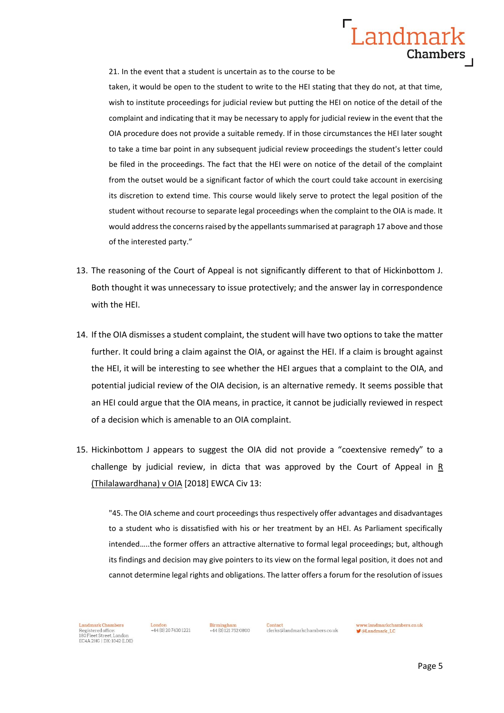

21. In the event that a student is uncertain as to the course to be

taken, it would be open to the student to write to the HEI stating that they do not, at that time, wish to institute proceedings for judicial review but putting the HEI on notice of the detail of the complaint and indicating that it may be necessary to apply for judicial review in the event that the OIA procedure does not provide a suitable remedy. If in those circumstances the HEI later sought to take a time bar point in any subsequent judicial review proceedings the student's letter could be filed in the proceedings. The fact that the HEI were on notice of the detail of the complaint from the outset would be a significant factor of which the court could take account in exercising its discretion to extend time. This course would likely serve to protect the legal position of the student without recourse to separate legal proceedings when the complaint to the OIA is made. It would address the concerns raised by the appellants summarised at paragraph 17 above and those of the interested party."

- 13. The reasoning of the Court of Appeal is not significantly different to that of Hickinbottom J. Both thought it was unnecessary to issue protectively; and the answer lay in correspondence with the HEI.
- 14. If the OIA dismisses a student complaint, the student will have two options to take the matter further. It could bring a claim against the OIA, or against the HEI. If a claim is brought against the HEI, it will be interesting to see whether the HEI argues that a complaint to the OIA, and potential judicial review of the OIA decision, is an alternative remedy. It seems possible that an HEI could argue that the OIA means, in practice, it cannot be judicially reviewed in respect of a decision which is amenable to an OIA complaint.
- 15. Hickinbottom J appears to suggest the OIA did not provide a "coextensive remedy" to a challenge by judicial review, in dicta that was approved by the Court of Appeal in  $R$ (Thilalawardhana) v OIA [2018] EWCA Civ 13:

"45. The OIA scheme and court proceedings thus respectively offer advantages and disadvantages to a student who is dissatisfied with his or her treatment by an HEI. As Parliament specifically intended…..the former offers an attractive alternative to formal legal proceedings; but, although its findings and decision may give pointers to its view on the formal legal position, it does not and cannot determine legal rights and obligations. The latter offers a forum for the resolution of issues

 $\begin{array}{l} \textbf{London} \\ \textbf{+44}\, (0)\, 20\, 74301221 \end{array}$ 

Birmingham<br>+44 (0) 121 752 0800

Contact<br>clerks@landmarkchambers.co.uk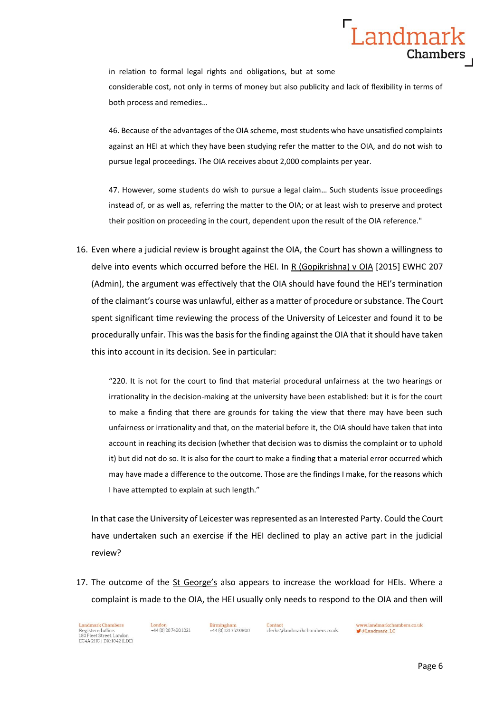

46. Because of the advantages of the OIA scheme, most students who have unsatisfied complaints against an HEI at which they have been studying refer the matter to the OIA, and do not wish to pursue legal proceedings. The OIA receives about 2,000 complaints per year.

47. However, some students do wish to pursue a legal claim… Such students issue proceedings instead of, or as well as, referring the matter to the OIA; or at least wish to preserve and protect their position on proceeding in the court, dependent upon the result of the OIA reference."

16. Even where a judicial review is brought against the OIA, the Court has shown a willingness to delve into events which occurred before the HEI. In R (Gopikrishna) v OIA [2015] EWHC 207 (Admin), the argument was effectively that the OIA should have found the HEI's termination of the claimant's course was unlawful, either as a matter of procedure or substance. The Court spent significant time reviewing the process of the University of Leicester and found it to be procedurally unfair. This was the basis for the finding against the OIA that it should have taken this into account in its decision. See in particular:

"220. It is not for the court to find that material procedural unfairness at the two hearings or irrationality in the decision-making at the university have been established: but it is for the court to make a finding that there are grounds for taking the view that there may have been such unfairness or irrationality and that, on the material before it, the OIA should have taken that into account in reaching its decision (whether that decision was to dismiss the complaint or to uphold it) but did not do so. It is also for the court to make a finding that a material error occurred which may have made a difference to the outcome. Those are the findings I make, for the reasons which I have attempted to explain at such length."

In that case the University of Leicester was represented as an Interested Party. Could the Court have undertaken such an exercise if the HEI declined to play an active part in the judicial review?

17. The outcome of the St George's also appears to increase the workload for HEIs. Where a complaint is made to the OIA, the HEI usually only needs to respond to the OIA and then will



**London**<br>+44 (0) 20 7430 1221

Birmingham<br>+44 (0) 121 752 0800

Contact<br>clerks@landmarkchambers.co.uk

ww.landmarkchambers.co.uk **M**@Landmark LC

Landmark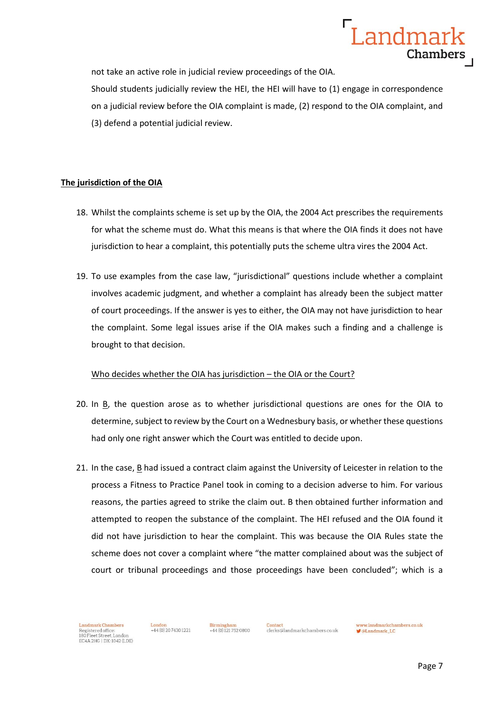

not take an active role in judicial review proceedings of the OIA.

Should students judicially review the HEI, the HEI will have to (1) engage in correspondence on a judicial review before the OIA complaint is made, (2) respond to the OIA complaint, and (3) defend a potential judicial review.

# **The jurisdiction of the OIA**

- 18. Whilst the complaints scheme is set up by the OIA, the 2004 Act prescribes the requirements for what the scheme must do. What this means is that where the OIA finds it does not have jurisdiction to hear a complaint, this potentially puts the scheme ultra vires the 2004 Act.
- 19. To use examples from the case law, "jurisdictional" questions include whether a complaint involves academic judgment, and whether a complaint has already been the subject matter of court proceedings. If the answer is yes to either, the OIA may not have jurisdiction to hear the complaint. Some legal issues arise if the OIA makes such a finding and a challenge is brought to that decision.

# Who decides whether the OIA has jurisdiction – the OIA or the Court?

- 20. In B, the question arose as to whether jurisdictional questions are ones for the OIA to determine, subject to review by the Court on a Wednesbury basis, or whether these questions had only one right answer which the Court was entitled to decide upon.
- 21. In the case, B had issued a contract claim against the University of Leicester in relation to the process a Fitness to Practice Panel took in coming to a decision adverse to him. For various reasons, the parties agreed to strike the claim out. B then obtained further information and attempted to reopen the substance of the complaint. The HEI refused and the OIA found it did not have jurisdiction to hear the complaint. This was because the OIA Rules state the scheme does not cover a complaint where "the matter complained about was the subject of court or tribunal proceedings and those proceedings have been concluded"; which is a

 $\begin{array}{l} \textbf{London} \\ \textbf{+44}\, (0)\, 20\,7430\,1221 \end{array}$ 

Birmingham<br>+44 (0) 121 752 0800

Contact<br>clerks@landmarkchambers.co.uk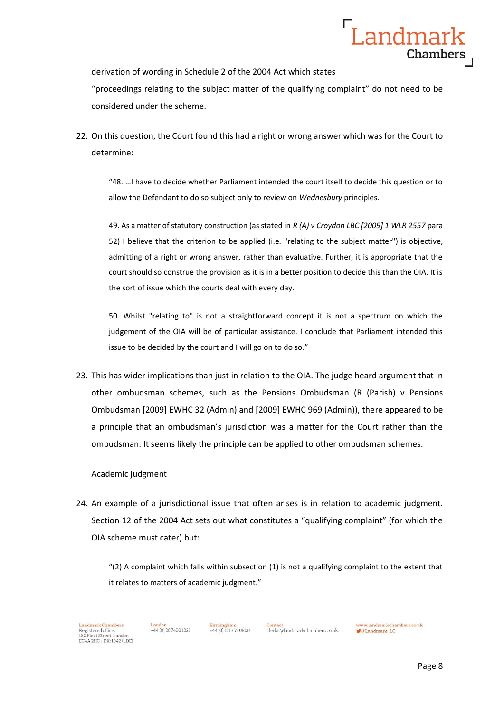

"proceedings relating to the subject matter of the qualifying complaint" do not need to be considered under the scheme.

22. On this question, the Court found this had a right or wrong answer which was for the Court to determine:

"48. …I have to decide whether Parliament intended the court itself to decide this question or to allow the Defendant to do so subject only to review on *Wednesbury* principles.

49. As a matter of statutory construction (as stated in *R (A) v Croydon LBC [2009] 1 WLR 2557* para 52) I believe that the criterion to be applied (i.e. "relating to the subject matter") is objective, admitting of a right or wrong answer, rather than evaluative. Further, it is appropriate that the court should so construe the provision as it is in a better position to decide this than the OIA. It is the sort of issue which the courts deal with every day.

50. Whilst "relating to" is not a straightforward concept it is not a spectrum on which the judgement of the OIA will be of particular assistance. I conclude that Parliament intended this issue to be decided by the court and I will go on to do so."

23. This has wider implications than just in relation to the OIA. The judge heard argument that in other ombudsman schemes, such as the Pensions Ombudsman (R (Parish) v Pensions Ombudsman [2009] EWHC 32 (Admin) and [2009] EWHC 969 (Admin)), there appeared to be a principle that an ombudsman's jurisdiction was a matter for the Court rather than the ombudsman. It seems likely the principle can be applied to other ombudsman schemes.

## Academic judgment

24. An example of a jurisdictional issue that often arises is in relation to academic judgment. Section 12 of the 2004 Act sets out what constitutes a "qualifying complaint" (for which the OIA scheme must cater) but:

 $''(2)$  A complaint which falls within subsection  $(1)$  is not a qualifying complaint to the extent that it relates to matters of academic judgment."

 $\begin{array}{l} \textbf{London} \\ \textbf{+44}\, (0)\, 20\,7430\,1221 \end{array}$ 

Birmingham<br>+44 (0) 121 752 0800

Contact<br>clerks@landmarkchambers.co.uk

www.landmarkchambers.co.uk **M**@Landmark LC

Landmark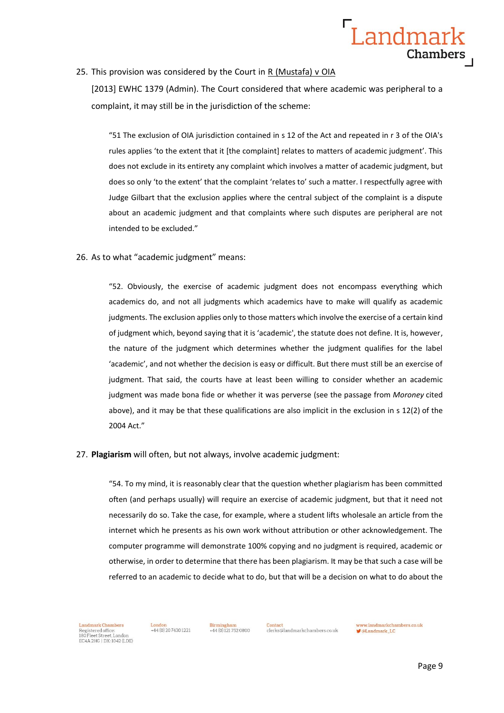

## 25. This provision was considered by the Court in R (Mustafa) v OIA

[2013] EWHC 1379 (Admin). The Court considered that where academic was peripheral to a complaint, it may still be in the jurisdiction of the scheme:

"51 The exclusion of OIA jurisdiction contained in s 12 of the Act and repeated in r 3 of the OIA's rules applies 'to the extent that it [the complaint] relates to matters of academic judgment'. This does not exclude in its entirety any complaint which involves a matter of academic judgment, but does so only 'to the extent' that the complaint 'relates to' such a matter. I respectfully agree with Judge Gilbart that the exclusion applies where the central subject of the complaint is a dispute about an academic judgment and that complaints where such disputes are peripheral are not intended to be excluded."

#### 26. As to what "academic judgment" means:

"52. Obviously, the exercise of academic judgment does not encompass everything which academics do, and not all judgments which academics have to make will qualify as academic judgments. The exclusion applies only to those matters which involve the exercise of a certain kind of judgment which, beyond saying that it is 'academic', the statute does not define. It is, however, the nature of the judgment which determines whether the judgment qualifies for the label 'academic', and not whether the decision is easy or difficult. But there must still be an exercise of judgment. That said, the courts have at least been willing to consider whether an academic judgment was made bona fide or whether it was perverse (see the passage from *Moroney* cited above), and it may be that these qualifications are also implicit in the exclusion in s 12(2) of the 2004 Act."

#### 27. **Plagiarism** will often, but not always, involve academic judgment:

"54. To my mind, it is reasonably clear that the question whether plagiarism has been committed often (and perhaps usually) will require an exercise of academic judgment, but that it need not necessarily do so. Take the case, for example, where a student lifts wholesale an article from the internet which he presents as his own work without attribution or other acknowledgement. The computer programme will demonstrate 100% copying and no judgment is required, academic or otherwise, in order to determine that there has been plagiarism. It may be that such a case will be referred to an academic to decide what to do, but that will be a decision on what to do about the

 $\begin{array}{l} \textbf{London} \\ \textbf{+44}\, (0)\, 20\,7430\,1221 \end{array}$ 

Birmingham<br>+44 (0) 121 752 0800

Contact<br>clerks@landmarkchambers.co.uk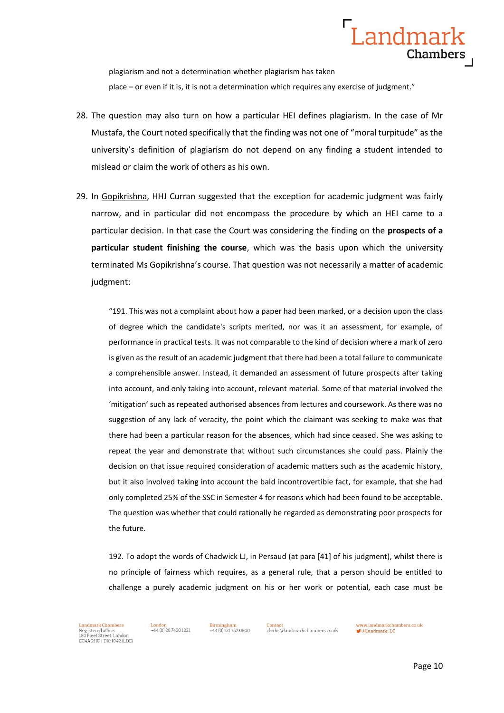

- 28. The question may also turn on how a particular HEI defines plagiarism. In the case of Mr Mustafa, the Court noted specifically that the finding was not one of "moral turpitude" as the university's definition of plagiarism do not depend on any finding a student intended to mislead or claim the work of others as his own.
- 29. In Gopikrishna, HHJ Curran suggested that the exception for academic judgment was fairly narrow, and in particular did not encompass the procedure by which an HEI came to a particular decision. In that case the Court was considering the finding on the **prospects of a particular student finishing the course**, which was the basis upon which the university terminated Ms Gopikrishna's course. That question was not necessarily a matter of academic judgment:

"191. This was not a complaint about how a paper had been marked, or a decision upon the class of degree which the candidate's scripts merited, nor was it an assessment, for example, of performance in practical tests. It was not comparable to the kind of decision where a mark of zero is given as the result of an academic judgment that there had been a total failure to communicate a comprehensible answer. Instead, it demanded an assessment of future prospects after taking into account, and only taking into account, relevant material. Some of that material involved the 'mitigation' such as repeated authorised absences from lectures and coursework. As there was no suggestion of any lack of veracity, the point which the claimant was seeking to make was that there had been a particular reason for the absences, which had since ceased. She was asking to repeat the year and demonstrate that without such circumstances she could pass. Plainly the decision on that issue required consideration of academic matters such as the academic history, but it also involved taking into account the bald incontrovertible fact, for example, that she had only completed 25% of the SSC in Semester 4 for reasons which had been found to be acceptable. The question was whether that could rationally be regarded as demonstrating poor prospects for the future.

192. To adopt the words of Chadwick LJ, in Persaud (at para [41] of his judgment), whilst there is no principle of fairness which requires, as a general rule, that a person should be entitled to challenge a purely academic judgment on his or her work or potential, each case must be

Landmark Chambers<br>Registered office:<br>180 Fleet Street, London EC4A 2HG | DX: 1042 (LDE)

 $\begin{array}{l} \textbf{London} \\ \textbf{+44}\, (0)\, 20\,7430\,1221 \end{array}$ 

Birmingham<br>+44 (0) 121 752 0800

Contact<br>clerks@landmarkchambers.co.uk

ww.landmarkchambers.co.uk  $\blacksquare$  @Landmark LC

Landmark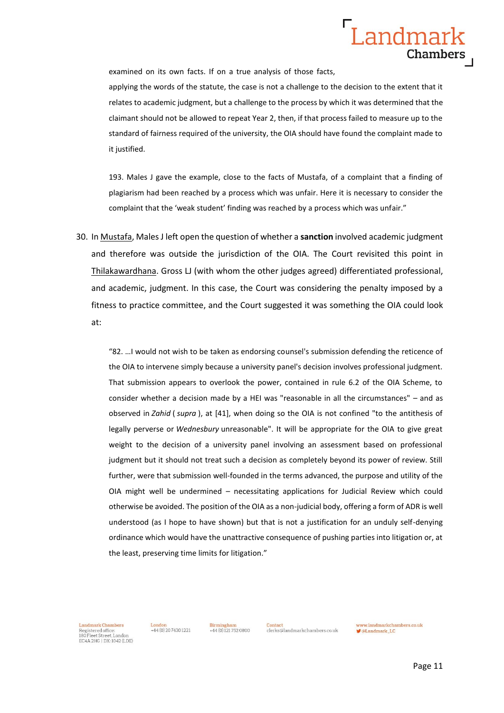

examined on its own facts. If on a true analysis of those facts,

applying the words of the statute, the case is not a challenge to the decision to the extent that it relates to academic judgment, but a challenge to the process by which it was determined that the claimant should not be allowed to repeat Year 2, then, if that process failed to measure up to the standard of fairness required of the university, the OIA should have found the complaint made to it justified.

193. Males J gave the example, close to the facts of Mustafa, of a complaint that a finding of plagiarism had been reached by a process which was unfair. Here it is necessary to consider the complaint that the 'weak student' finding was reached by a process which was unfair."

30. In Mustafa, Males J left open the question of whether a **sanction** involved academic judgment and therefore was outside the jurisdiction of the OIA. The Court revisited this point in Thilakawardhana. Gross LJ (with whom the other judges agreed) differentiated professional, and academic, judgment. In this case, the Court was considering the penalty imposed by a fitness to practice committee, and the Court suggested it was something the OIA could look at:

"82. …I would not wish to be taken as endorsing counsel's submission defending the reticence of the OIA to intervene simply because a university panel's decision involves professional judgment. That submission appears to overlook the power, contained in rule 6.2 of the OIA Scheme, to consider whether a decision made by a HEI was "reasonable in all the circumstances" – and as observed in *Zahid* ( *supra* ), at [41], when doing so the OIA is not confined "to the antithesis of legally perverse or *Wednesbury* unreasonable". It will be appropriate for the OIA to give great weight to the decision of a university panel involving an assessment based on professional judgment but it should not treat such a decision as completely beyond its power of review. Still further, were that submission well-founded in the terms advanced, the purpose and utility of the OIA might well be undermined – necessitating applications for Judicial Review which could otherwise be avoided. The position of the OIA as a non-judicial body, offering a form of ADR is well understood (as I hope to have shown) but that is not a justification for an unduly self-denying ordinance which would have the unattractive consequence of pushing parties into litigation or, at the least, preserving time limits for litigation."

Landmark Chambers<br>Registered office: 180 Fleet Street, London EC4A 2HG | DX: 1042 (LDE)

**London**<br>+44 (0) 20 7430 1221

Birmingham<br>+44 (0) 121 752 0800

Contact<br>clerks@landmarkchambers.co.uk

ww.landmarkchambers.co.uk **M**@Landmark LC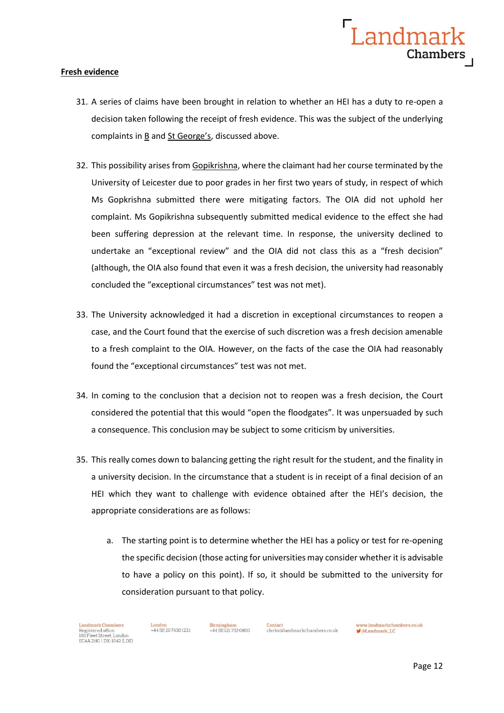## **Fresh evidence**

- 31. A series of claims have been brought in relation to whether an HEI has a duty to re-open a decision taken following the receipt of fresh evidence. This was the subject of the underlying complaints in  $\underline{B}$  and  $\underline{St}$  George's, discussed above.
- 32. This possibility arises from Gopikrishna, where the claimant had her course terminated by the University of Leicester due to poor grades in her first two years of study, in respect of which Ms Gopkrishna submitted there were mitigating factors. The OIA did not uphold her complaint. Ms Gopikrishna subsequently submitted medical evidence to the effect she had been suffering depression at the relevant time. In response, the university declined to undertake an "exceptional review" and the OIA did not class this as a "fresh decision" (although, the OIA also found that even it was a fresh decision, the university had reasonably concluded the "exceptional circumstances" test was not met).
- 33. The University acknowledged it had a discretion in exceptional circumstances to reopen a case, and the Court found that the exercise of such discretion was a fresh decision amenable to a fresh complaint to the OIA. However, on the facts of the case the OIA had reasonably found the "exceptional circumstances" test was not met.
- 34. In coming to the conclusion that a decision not to reopen was a fresh decision, the Court considered the potential that this would "open the floodgates". It was unpersuaded by such a consequence. This conclusion may be subject to some criticism by universities.
- 35. This really comes down to balancing getting the right result for the student, and the finality in a university decision. In the circumstance that a student is in receipt of a final decision of an HEI which they want to challenge with evidence obtained after the HEI's decision, the appropriate considerations are as follows:
	- a. The starting point is to determine whether the HEI has a policy or test for re-opening the specific decision (those acting for universities may consider whether it is advisable to have a policy on this point). If so, it should be submitted to the university for consideration pursuant to that policy.

Landmark Chambers<br>Registered office: 180 Fleet Street, London EC4A 2HG | DX: 1042 (LDE)

 $\begin{array}{l} \textbf{London} \\ \textbf{+44}\, (0)\, 20\,7430\,1221 \end{array}$ 

Contact<br>clerks@landmarkchambers.co.uk Birmingham<br>+44 (0) 121 752 0800

ww.landmarkchambers.co.uk  $\blacksquare$  @Landmark LC

Landmark